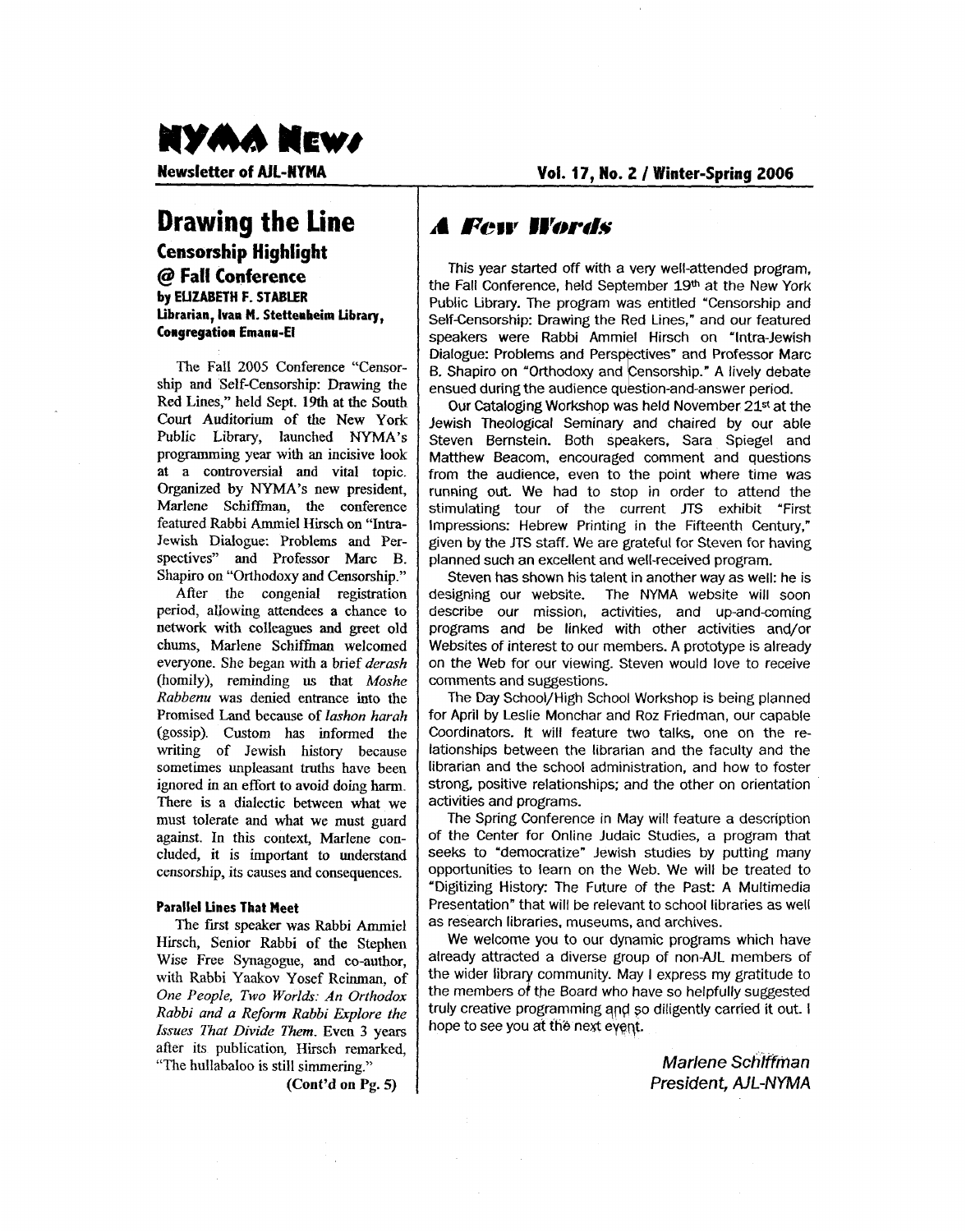# NYWY NEMY

**Newsletter of AJL-MYMA** 

**Vol. 17, No. 2** / **Winter-Spring 2006** 

# **Drawing the line**

#### **Censorship Highlight**  @ **Fall Conference by EUZABETH F. STABLER Librarian, Ivan M. Stetterheim Library, Congregation Emana-El**

The Fall 2005 Conference "Censorship and Self-censorship: Drawing the Red Lines," held Sept. **19th** at the South **Court** Auditorium of the New York Public Library, launched **NYMA's**  programming year **with an** incisive look at a controversial and vital topic. Organized by NYMA's new president, Marlene Schiffinan, the conference featured Rabbi Ammiel Hirsch on "Intra-Jewish Dialogue: Problems and Perspectives" and Professor Marc B. Shapiro on "Orthodoxy and Censorship."

After the congenial registration period, allowing attendees a chance to network with colleagues and greet old chums, Marlene Schiffman welcomed everyone. She began with a brief *derash*  (homily), reminding us that *Moshe Rabbenu* was denied entrance into the Promised Land because of *lashon harah*  (gossip). Custom has informed the writing of Jewish history because sometimes unpleasant truths have been ignored in an effort to avoid doing harm. There is a dialectic between what we must tolerate and what we must guard against. In this context, Marlene concluded, it is important to understand censorship, its causes and consequences.

#### **Parallel Lines That Meet**

The first speaker was Rabbi Ammiel Hirsch, Senior Rabbi of the Stephen Wise Free Synagogue, and co-author, with Rabbi Yaakov Yosef Reinman, of One *People, Two Worlds: An Orthodox Rabbi and a Reform Rabbi Explore the Issues That Divide Them.* Even *3* years after its publication, Hirsch remarked, "The hullabaloo is still simmering."

### **A Few Words**

This year started *off* with a very well-attended program, the Fall Conference, held September **19th** at the New York Public Library. The program was entitled 'Censorship and Self-censorship: Drawing the Red Lines," and our featured speakers were Rabbi Ammiel Hirsch on 'Intra-Jewish Dialogue: Problems and Perspectives" and Professor Marc B. Shapiro on "Orthodoxy and Censorship." A lively debate ensued during the audience question-and-answer period.

Our Cataloging Workshop was held November **21\*** at the Jewish Theological Seminary and chaired by our able Steven Bernstein. Both speakers, Sara Spiegel and Matthew Beacom, encouraged comment and questions from the audience, even to the point where time was running out. We had to stop in order to attend the stimulating tour of the current JTS exhibit 'First Impressions: Hebrew Printing in the Fifteenth Century," given by the JTS staff. We are grateful for Steven for having planned such an excellent and well-received program.

Steven has shown his talent in another way as well: he is designing our website. The **NYMA** website will soon describe our mission, activities, and up-and-coming programs and be linked with other activities and/or Websites of interest to our members. A prototype is already on the Web for our viewing. Steven would love to receive comments and suggestions.

The Day School/High School Workshop is being planned for April by Leslie Monchar and Roz Friedman, our capable Coordinators. It will feature two talks, ane on the relationships between the librarian and the faculty and the librarian and the school administration, and how to foster strong, positive relationships; and the other on orientation activities and programs.

The Spring Conference in May will feature a description of the Center for Online Judaic Studies, a program that seeks to 'democratize" Jewish studies by putting many opportunities to learn on the Web. We will be treated to 'Digitizing History: The Future of the Past: A Multimedia Presentation" that will be relevant to school libraries as well as research libraries, museums, and archives.

We welcome you to our dynamic programs which have already attracted a diverse group of non-AJL members of the wider library community. May I express my gratitude to the members of the Board who have so helpfully suggested truly creative programming and so diligently carried it out. I hope to see you at the next eyent.

> *Marlene Schlffman President, AIL-NYMA*

**(Cont'd on Pg.** *5)*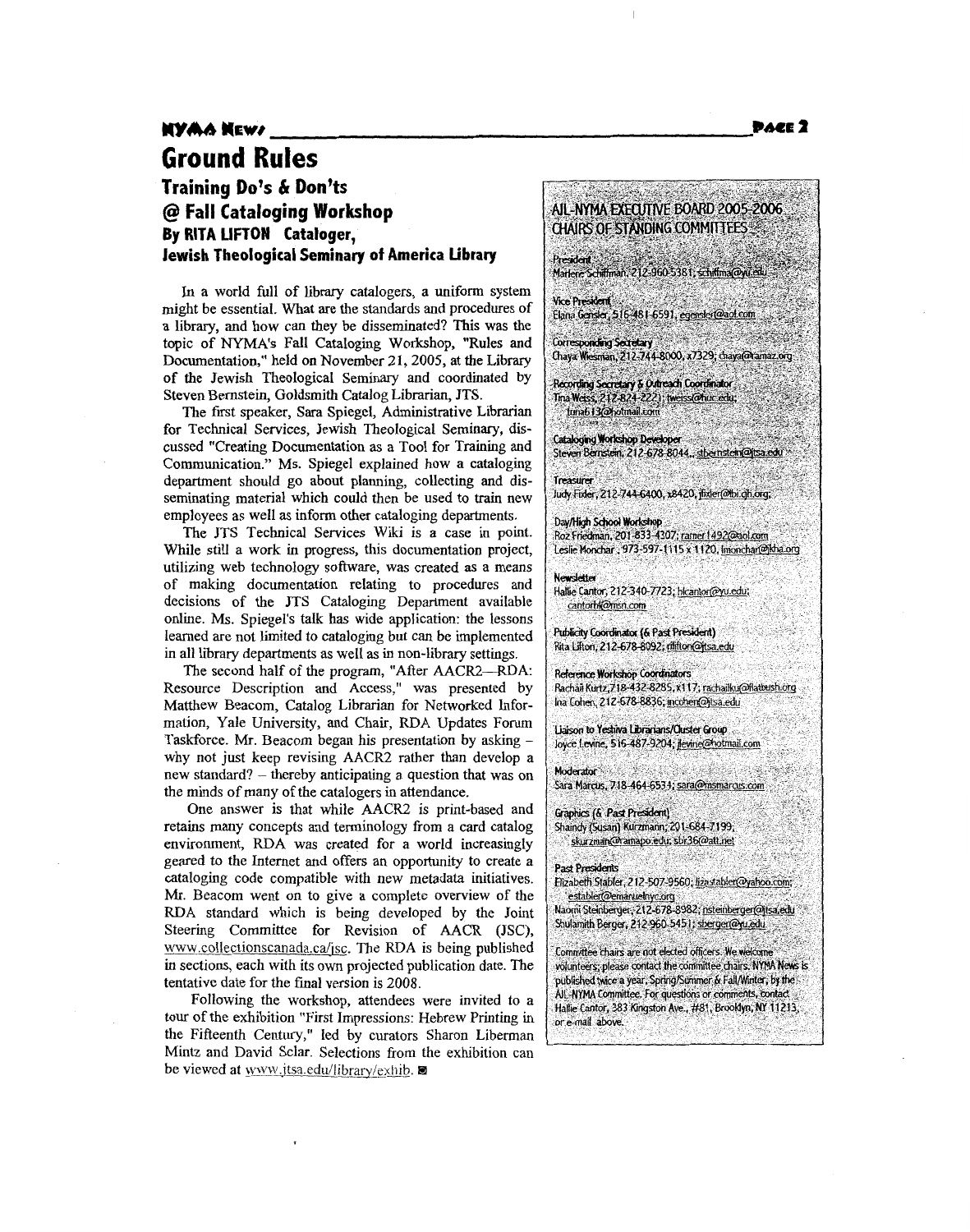### **Training DO'S** & **Don'ts**  @ **Fall Cataloging Workshop By RITA UFTOW Cataloger, Jewish Theological Seminary of America Library**

In a world full of library catalogers, a uniform system might be essential. What are the standards and procedures of a library, and how can they be disseminated? This was the topic of NYMA's Fall Cataloging Workshop, "Rules and Documentation," held on November 21,2005, at the Library **of** the Jewish Theological Seminary and coordinated by Steven Bernstein, Goldsmith Catalog Librarian, **JTS.** 

The first speaker, Sara Spiegel, Administrative Librarian for Technical Services, Jewish Theological Seminary, discussed "Creating Documentation **as** a Tool for Training and Communication." Ms. Spiegel explained how a cataloging department should *go* about planning, collecting and disseminating material which could then be used to train new employees as well **as** inform other cataloging departments.

The JTS Technical Services Wiki is **a** case in point. While still a work in progress, this documentation project, utilizing web technology software, was created **as** a means of making documentation relating to procedures and decisions **of** the JTS Cataloging Department available online. Ms. Spiegel's talk **has** wide application: the lessons learned are not limited to cataloging but can be implemented in all library departments **as** well **as** in non-library settings.

The second half of the program, "After AACR2-RDA: Resource Description and Access," was presented by Matthew Beacom, Catalog Librarian for Networked Information, Yale University, and Chair, RDA Updates Forum Taskforce. Mr. Beacom began his presentation by asking why not just keep revising AACR2 rather than develop a new standard? - thereby anticipating a question that was on the minds of many of the catalogers in attendance.

One answer is that while AACR2 **is** print-based and retains many concepts and terminology from a card catalog environment, **RDA** was created **for** a world increasingly geared to the Internet and offers an opportunity to create a cataloging code compatible with new metadata initiatives. **Mr.** Beacom went on to give a complete overview **of** the **RDA** standard which is being developed by the Joint Steering Committee for Revision of AACR (JSC), www.collectionscanada.ca/isc. The **RDA** is being published in sections, each with its own projected publication date. The tentative date for the final version is 2008.

Following the workshop, attendees were invited to a tour of the exhibition "First Impressions: Hebrew Printing in the Fifteenth Century," led by curators Sharon Liberman Mintz and David Sclar. Selections from the exhibition can be viewed at www.jtsa.edu/library/exhib. ■

**Corresponding Secretary** Chaya Wiesman, 212-744-8000, x7329; chaya@ramaz.org Recording Secretary & Outreach Coordinator Tina Weiss, 212-824-2221; tweiss@hux edu: tuna613@hotmail.com **Cataloging Workshop Developer** Steven Bernstein, 212-678-8044., stbernstein@itsa.ed Treasurer Judy Fixler, 212-744-6400, x8420, fixler(@tbi.ch.org, Day/High School Workshop Roz Friedman, 201-833-4307; ramer 1492@aol.com Leslie Monchar, 973-597-1115 x 1120, Imonchar@Mha.org **Newsletter** Hallie Cantor, 212-340-7723; hicantor@yu.edu; cantorbl@msn.com Publicity Coordinator (& Past President) Rita Lifton, 212-678-8092; rilifton@itsa.edu **Reference Workshop Coordinators** Rachail Kurtz, 718-432-8285, x117; rachailku@flatbush.org Ina Cohen, 212-678-8836; incohen@jtsa.edu Liaison to Yeshiva Librarians/Cluster Group loyce Levine, 516-487-9204; jevine@hotmail.com

AIL-NYMA EXECUTIVE BOARD 2005-2006 CHAIRS OF STANDING COMMITTEES

Marlene Schiffman, 212-960-5381, schiffma@yu.edu

Elana Gensler, 516-481-6591, egensler@aol.com

President

**Vice President** 

Moderator -Sara Marcus, 718-464-6534; sara@msmarcus.com

Graphics (& Past President) Shaindy (Susan) Kurzmann; 201-684-7199; skurzman@ramapo.edu; sbk36@att.net

**Past Presidents** Elizabeth Stabler, 212-507-9560; lizastabler@yahoo.com; establer@emanuelnyc.org

Naomi Steinberger, 212-678-8982, nsteinberger@itsa.edu Shulamith Berger, 212-960-5451; sberger@yu.edu

Committee chairs are not elected officers. We welcome volunteers; please contact the committee chairs. NYMA News is published twice a year, Spring/Summer & Fall/Winter, by the AIL-NYMA Committee. For questions or comments, contact Hallie Cantor, 383 Kingston Ave., #81, Brooklyn, NY 11213, or e-mail above.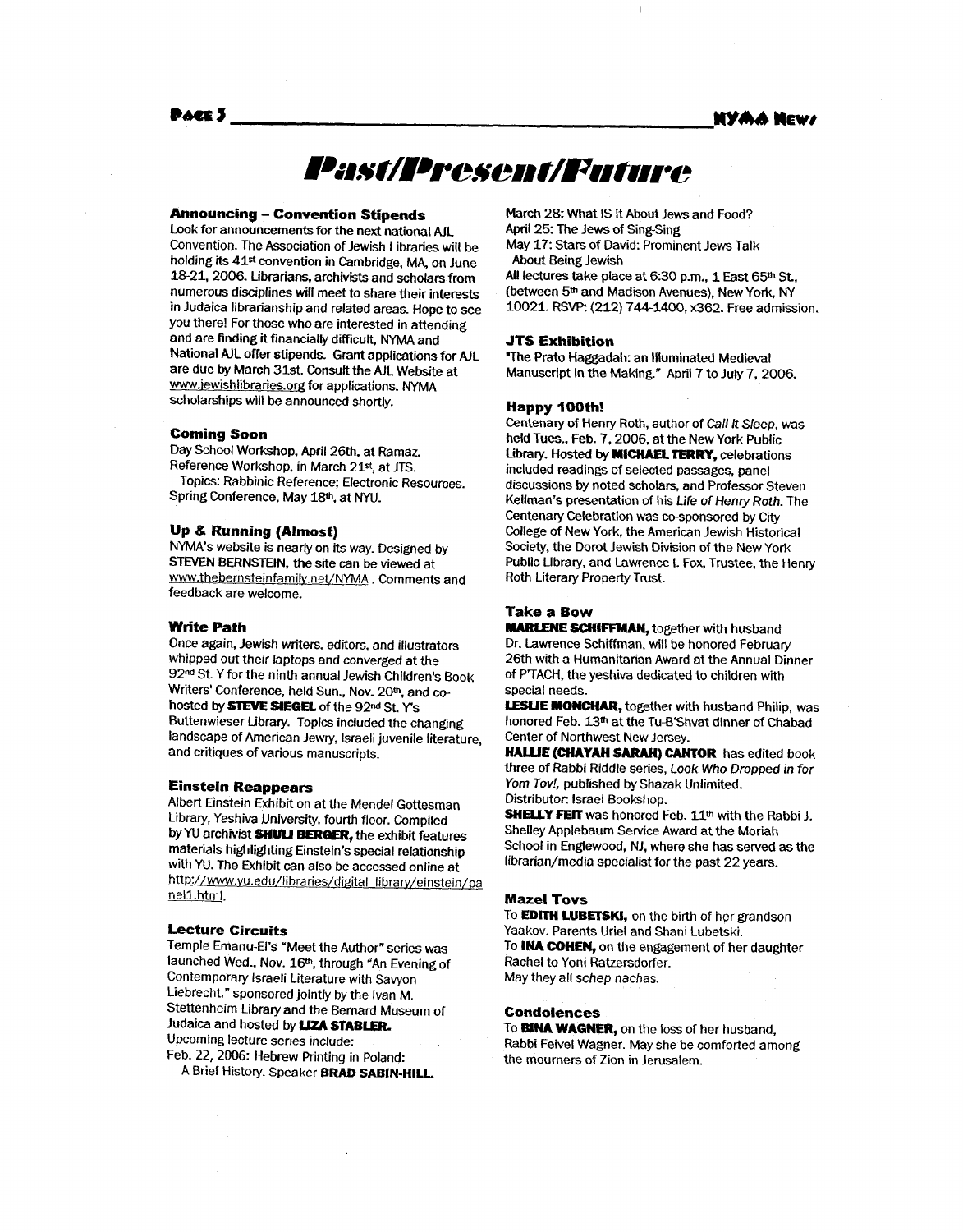**NYAA News** 

#### Pace 3

## Past/Present/Future

#### **Announcing** - **Convention Stipends**

Look for announcements for the next national AIL Convention. The Association of Jewish Libraries will be holding its 41<sup>st</sup> convention in Cambridge, MA, on June 18-21. 2006. Librarians, archivists and scholars from numerous disciplines will meet to share their interests in Judaica librarianship and related areas. Hope to see you there! For those who are interested in attending and are finding it financially difficult, NYMA and National AIL offer stipends. Grant applications for AJL are due **by** March 31st. Consoft the AJL Website at www.iewishlibraries.org for applications. NYMA scholarships will be announced shortly.

#### **Coming Soon**

Day School Workshop, April 26th, at Ramaz. Reference Workshop, in March 21st, at JTS. Spring Conference, May 18m, at NYU. Topics: Rabbinic Reference; Electronic Resources.

#### **Up** & **Running (Almost)**

NYMA's website is nearly on its way. Designed by **STEVEN BERNSTEIN.** the site can be viewed at www.thebernsteinfamily.net/NYMA . Comments and feedback are welcome.

#### **Write Path**

Once again, Jewish writers, editors, and illustrators whipped out their laptops and converged at the 92<sup>nd</sup> St. Y for the ninth annual Jewish Children's Book Writers' Conference, held Sun., Nov. 20m, and *cc*hosted **by** *STEVE* **SlEGEl** of the 92" **St Y's**  Buttenwieser Library. Topics included the changing landscape *of* American Jewry, Israeli juvenile literature, and critiques of various manuscripts.

#### **Einstein Reappears**

Albert Einstein Exhibit on at the Mendel Gottesman Library, Yeshiva Dniversity, fourth floor. Compiled by YU archivist **SHULI BERGER**, the exhibit features materials highlighting Einstein's special relationship with YU. The Exhibit can also be accessed online at http://www.yu.edu/libraries/digital\_library/einstein/pa nell.html.

#### **Lecture Circuits**

Temple Emanu-El's "Meet the Author" series **was**  launched Wed., Nov. 16<sup>th</sup>, through "An Evening of Contemporary Israeli Literature with Savyon Liebrecht," sponsored jointly by the Ivan M. Stettenheim Library and the Bernard Museum of Judaica and hosted by **LIZA STABLER.** Upcoming lecture series include: Feb. 22, 2006: Hebrew Printing in Poland:

A Brief History. Speaker **BRAD SABIN-HILL** 

March 28: What **IS** It About Jews and Food? April 25: The Jews of Sing-Sing May 17: Stars of David: Prominent Jews Talk All lectures take place at 6:30 p.m., 1 East 65<sup>th</sup> St. About Being Jewish

(between **5th** and Madison Avenues), New York, NY **10021.** RSVP: (212) 744-1400, x362. Free admission.

#### **JTS Exhibition**

"The Prato Haggadah: an Illuminated Medieval Manuscript in the Making." April 7 to July 7, 2006.

#### **Happy 100th!**

Centenary of Henry Roth, author of *Call it* Sleep, was held **Toes..** Feb. 7,2006, at the New York Public Library. Hosted **by MICHAELTERRY,** celebrations included readings of selected passages, panel discussions **by** noted scholars, and Professor Steven Kellman's presentation of his Life of *Henry Roth.* The Centenary Celebration was co-sponsored by City College of New **York,** the American Jewish Historical Society, the Dorot Jewish Division of the New York Public Library, and Lawrence **I.** Fox, Trustee, the Henry Roth Literary Property Trust.

#### **Take a Bow**

**MARLENE SCHIFFMAN, together with husband** Dr. Lawrence Schiffman, will be honored February 26th **with** a Humanitarian Award at the Annual Dinner of P'TACH, the yeshiva dedicated to children with special needs.

**LESUE MONCHAR,** together with husband Philip, **was**  honored Feb. l3m at the Tu-B'Shvat dinner of Chabad Center of Northwest New Jersey.

**HAWE (CHAYAH SARAH) CANTOR** has edited book three of Rabbi Riddle series, *Look* **Who** Dropped *in* for *Yom Tov!,* published by Shazak Unlimited. Distributor: Israel Bookshop.

**SHELLY FEIT** was honored Feb. **11th** with the Rabbi J. Shelley Applebaum Service Award at the Moriah School in Englewood, NJ. where she **has** served as the librarian/media specialist for the past 22 years.

#### **Maze1 Tovs**

To **EDITH LUBETSKI,** on the birth of her grandson Yaakov. Parents Uriel and Shani Lubetski. To **INA COHEN,** on the engagement of her daughter Rachel to Yoni Ratzersdorfer. May they all schep nachas.

#### **Condolences**

To **BlNA WAGNER,** on the loss **of** her husband, Rabbi Feivel Wagner. May she be comforted among the mourners of Zion in Jerusalem.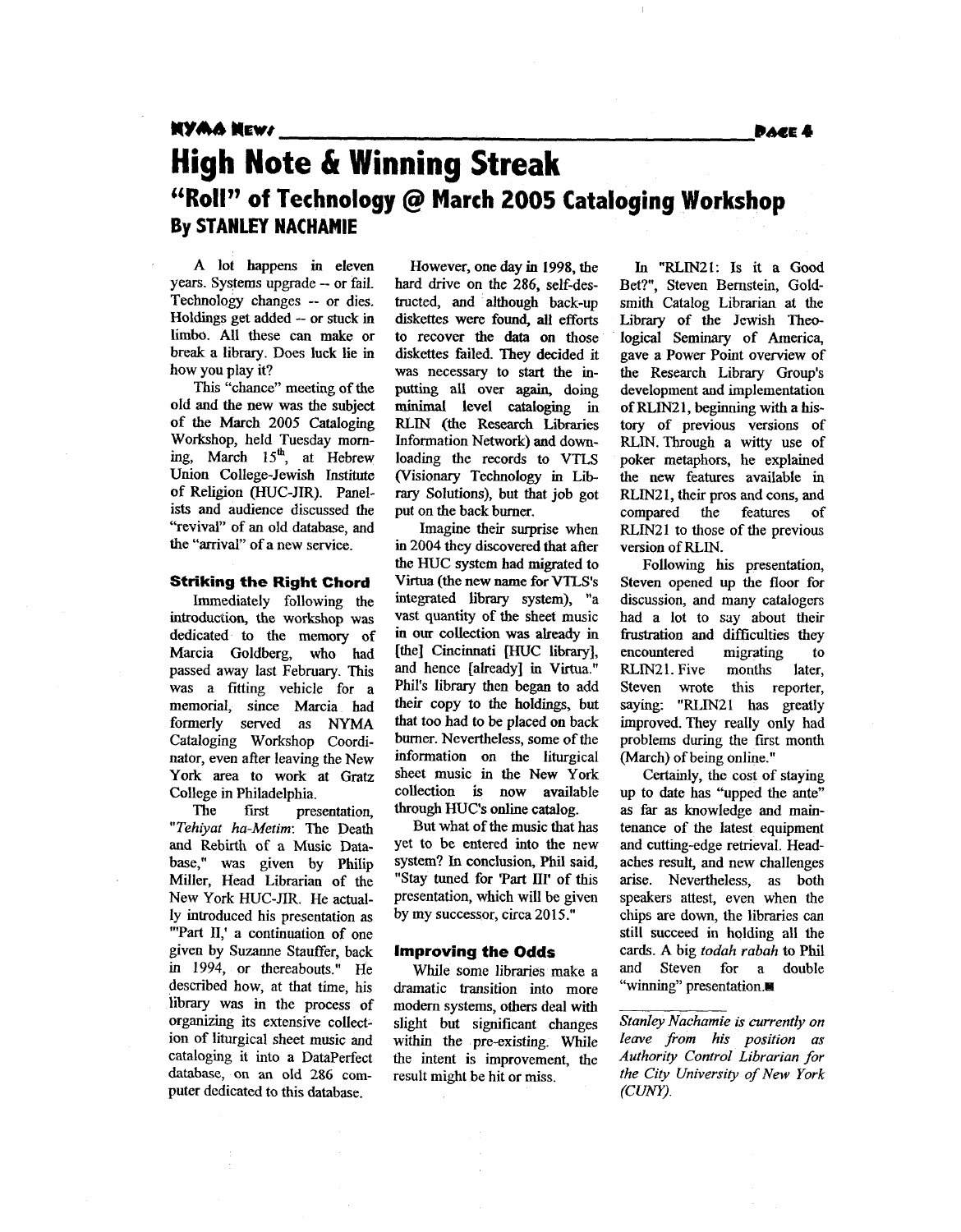## *11YM* **MEW0** *PME* **<sup>4</sup>**

### **44RollT' of Technology** @ **March 2005 Cataloging Workshop High Note & Winning Streak By STANLEY NACHAMIE**

A lot happens in eleven years. Systems upgrade -- or fail. Technology changes -- or dies. Holdings get added -- or stuck in limbo. **All** these can make or break a library. Does luck lie in how you play it?

**This** "chance" meeting of the old and the new was the subject of the March 2005 Cataloging Workshop, held Tuesday moming, March **15&,** at Hebrew Union College-Jewish Institute of Religion (HUC-JIR). Panelists and audience discussed the "revival" of an old database, and the "arrival" of a new service.

#### **Striking the** Right Chord

Immediately following the introduction, the workshop **was**  dedicated to the memory of Marcia Goldberg, who had passed away last February. This was a fitting vehicle for a memorial, since Marcia had formerly served as NYMA Cataloging Workshop Coordinator, even after leaving the New York area to work at Gratz College in Philadelphia.

The first presentation, *"Tehiyat ha-Metim:* The Death and Rebirth of a Music Database," **was** given by Philip Miller, Head Librarian of the New York HUC-JIR. He actually introduced his presentation **as**  "'Part II,' a continuation of one given by Suzanne Stauffer, back in 1994, or thereabouts." He described how, at that time, his library was in the process of organizing its extensive collection of liturgical sheet music and cataloging it into a Dataperfect **database,** on an old 286 computer dedicated to this database.

However, one **day** in 1998, the hard drive on the 286, self-destructed, and although back-up diskettes were found, all efforts to recover the data on those diskettes failed. They decided it was necessary to start the inputting all over **again,** doing **minimal** level cataloging in RLIN (the Research Libraries Information Network) and downloading the records to **VTLS**  (Visionary Technology in Lib*rary* Solutions), but that job got put on the back burner.

Imagine their surprise when in 2004 they discovered that after the HUC system had migrated to Virtua **(the** new name for **VTLS's**  integrated library system), "a vast **quantity** of the sheet music in **OUT** collection was already in [the] Cincinnati [HUC library], and hence [already] in Virtua." Phil's library then began to add their copy to the holdings, but that too had **to** be placed on back burner. Nevertheless, some of the information on the liturgical sheet music in the New York collection is now available through HUCs online catalog.

But what of the music that has yet to be entered into the new system? **In** conclusion, Phil said, "Stay tuned for 'Part **111'** of this presentation, which will be given by my successor, circa 20 **15."** 

#### **Improving the Odds**

While some libraries make a dramatic transition into more modem systems, others deal with slight but significant changes within the pre-existing. While the intent is improvement, the result might be hit or miss.

In **"EUIN21:** Is it a *Good*  Bet?", Steven Bernstein, Goldsmith Catalog Librarian at the Library of the Jewish **Theo**logical Seminary of America, gave a Power Point overview of the Research Library Group's development and implementation ofRLIN21, beginning with a history *of* previous versions of RLIN.Through a witty use of poker metaphors, he explained the new features available in RLM2 1, their pros and cons, **and**  compared the features of RLIN21 to those of the previous version of **RLIN.** 

Following his presentation, Steven opened up the **floor** for discussion, and many catalogers had a lot to say about their frustration and difficulties they encountered migrating to RLIN21. Five months later, Steven wrote this reporter, saying: "RLIN21 has greatly improved. They really only had problems during the first month (March) of being online."

Certainly, the cost of staying up to date has "upped the ante" **as far as** knowledge and maintenance of the latest equipment and cutting-edge retrieval. Headaches result, and new challenges arise. Nevertheless, **as** both speakers attest, even when the chips are down, the libraries can still succeed in holding all the cards. **A** big *todah rabah* to Phil and Steven for a double "winning" presentation.■

*Stanley Nachamie is currently on leave from his position as Authority Control Librarian for the City University of New York*  (CUNY).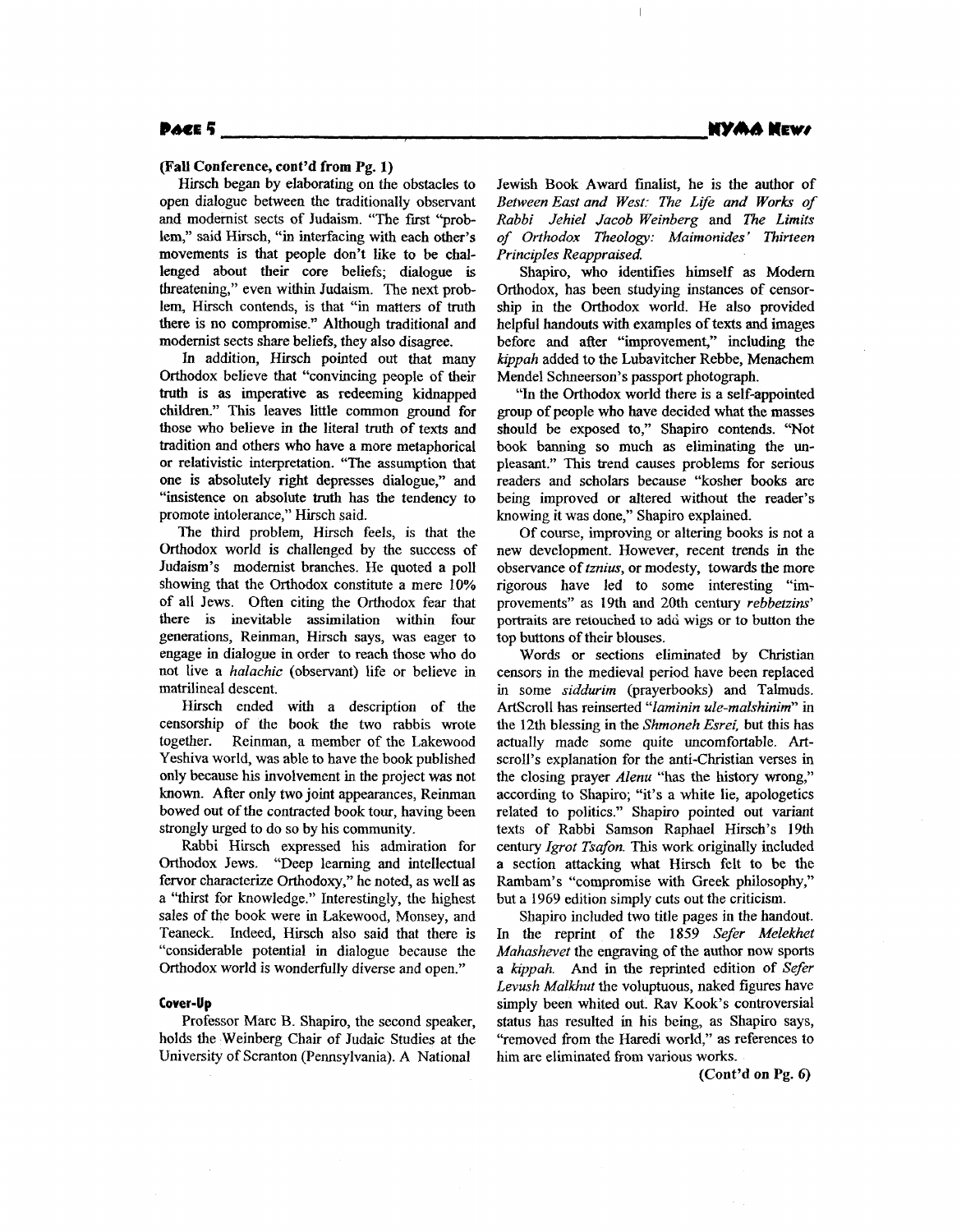#### Poer 5

#### **(Fall Conference, cont'd from Pg. 1)**

Hirsch began by elaborating on the obstacles to open dialogue between the traditionally observant and modernist sects of Judaism. "The first ''problem," said Hirsch, "in interfacing with each other's movements is that people don't like to be challenged about their core beliefs; dialogue is threatening," even within Judaism. The next problem, Hirsch contends, is that "in matters **of** truth there is **no** compromise." Although traditional and modernist sects share beliefs, they also disagree.

ln addition, Hirsch pointed out that many Orthodox believe that "convincing people of their **truth** is **as** imperative **as** redeeming kidnapped children-" **This** leaves little common ground for those who believe in the literal truth of texts and tradition and others who have a more metaphorical **or** relativistic interpretation. "The assumption that one **is** absolutely right depresses dialogue," and "insistence on absolute truth has the tendency to promote intolerance," Hirsch said.

The third problem, Hirsch feels, is that the Orthodox world is challenged by the success of Judaism's modernist branches. He quoted a poll showing that the Orthodox constitute a mere 10% of all Jews. Often citing the Orthodox fear that there is inevitable assimilation within **four**  generations, Reinman, Hirsch says, was eager to engage in dialogue in order to reach those who do not live a *halachic* (observant) life or believe in matrilineal descent.

Hirsch ended with a description **of** the censorship of the book the two rabbis wrote together. Reinman, a member of the Lakewood Yeshiva world, was able to have the book published only because **his** involvement in the project was not known. After only two joint appearances, Reinman bowed out of the contracted book tour, having been strongly urged to do so by his community.

Rabbi Hirsch expressed his admiration for Orthodox Jews. "Deep learning and intellectual fervor characterize Orthodoxy," he noted, as well as a "thirst for knowledge." Interestingly, the highest sales of the book were in Lakewood, Monsey, and Teaneck. Indeed, Hirsch also said that there **is**  "considerable potential in dialogue because the Orthodox world is wonderfully diverse and open."

#### **Cover-up**

Professor **Marc** B. Shapiro, the second speaker, holds the Weinberg Chair of Judaic Studies at the University of Scranton (Pennsylvania). **A** National

Jewish **Book** Award finalist, he is the author of **Between East and West: The Life and Works of** *Rabbi Jehiel Jacob Weinberg* and *The Limits of Orthodox Theology: Maimonides* ' *Thirteen Principles Reappraised.* 

 $\mathbf{I}$ 

Shapiro, who identifies himself **as** Modem Orthodox, has been studying instances of censorship in the Orthodox world. He also provided helpful handouts with examples of texts and images before and after "improvement," including the *kippah* added to the Lubavitcher Rebbe, Menachem Mendel Schneerson's passport photograph.

"In the Orthodox world there is a self-appointed group of people who have decided what the masses should be exposed to," Shapiro contends. "Not book banning *so* much **as** eliminating the **un**pleasant." This trend causes problems **for** serious readers and scholars because "kosher books are being improved **or** altered without the reader's knowing it was done," Shapiro explained.

Of course, improving **or** altering **books** is not a new development. However, recent trends in the observance of *tznius,* **or** modesty, towards the more rigorous have led to some interesting "improvements" **as** 19th and 20th century *rebbetzim'*  **portraits** are retouched **to** ad6 wigs **or** to button the top buttons of their blouses.

Words **or** sections eliminated by Christian censors in the medieval period have been replaced in some *siddurim* (prayerbooks) and Talmuds. **ArtScroll** has reinserted *"laminin ule-malshinim"* in the 12th blessing in the *Shmoneh Esrei,* but this has actually made some quite uncomfortable. Artscroll's explanation for the anti-Christian verses in the closing prayer *Alenu* "has the history wrong," according to Shapiro; "it's a white lie, apologetics related **to** politics." Shapiro pointed out variant texts of Rabbi Samson Raphael Hirsch's 19th century *Igrot Tsafon*. This work originally included a section attacking what Hirsch felt to be the Rambam's "compromise with Greek philosophy," but a 1969 edition simply cuts out the criticism.

Shapiro included two title pages in the handout. In the reprint **of** the 1859 *Sefer Melekhet Mahashevet* the engraving of the author now sports a *kippah.* **And** in the reprinted edition **of** *Sefer Levush Malkhut* the voluptuous, naked figures have simply been whited out. Rav Kook's controversial status has resulted in his being, as Shapiro says, "removed from the Haredi world," as references to him are eliminated from various **works.** 

**(Cont'd on Pg. 6)**